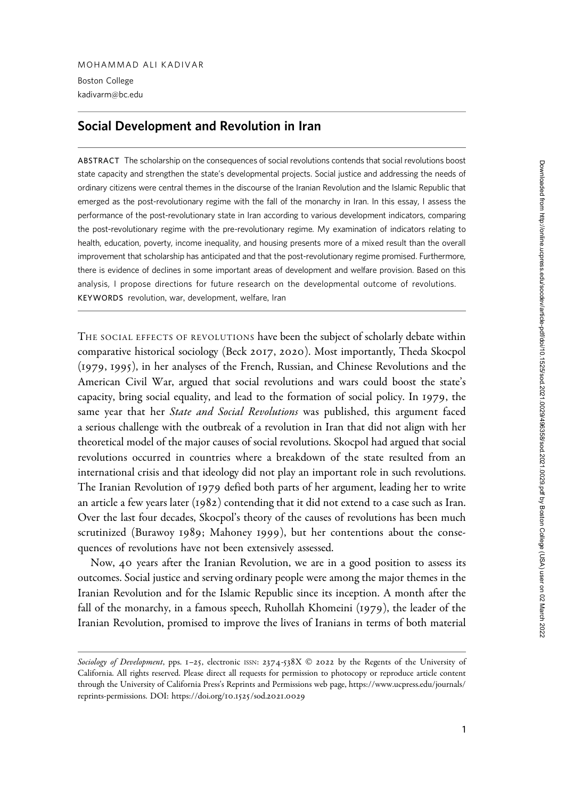kadivarm@bc.edu

# Social Development and Revolution in Iran

ABSTRACT The scholarship on the consequences of social revolutions contends that social revolutions boost state capacity and strengthen the state's developmental projects. Social justice and addressing the needs of ordinary citizens were central themes in the discourse of the Iranian Revolution and the Islamic Republic that emerged as the post-revolutionary regime with the fall of the monarchy in Iran. In this essay, I assess the performance of the post-revolutionary state in Iran according to various development indicators, comparing the post-revolutionary regime with the pre-revolutionary regime. My examination of indicators relating to health, education, poverty, income inequality, and housing presents more of a mixed result than the overall improvement that scholarship has anticipated and that the post-revolutionary regime promised. Furthermore, there is evidence of declines in some important areas of development and welfare provision. Based on this analysis, I propose directions for future research on the developmental outcome of revolutions. KEYWORDS revolution, war, development, welfare, Iran

THE SOCIAL EFFECTS OF REVOLUTIONS have been the subject of scholarly debate within comparative historical sociology (Beck 2017, 2020). Most importantly, Theda Skocpol (1979, 1995), in her analyses of the French, Russian, and Chinese Revolutions and the American Civil War, argued that social revolutions and wars could boost the state's capacity, bring social equality, and lead to the formation of social policy. In 1979, the same year that her *State and Social Revolutions* was published, this argument faced a serious challenge with the outbreak of a revolution in Iran that did not align with her theoretical model of the major causes of social revolutions. Skocpol had argued that social revolutions occurred in countries where a breakdown of the state resulted from an international crisis and that ideology did not play an important role in such revolutions. The Iranian Revolution of 1979 defied both parts of her argument, leading her to write an article a few years later (1982) contending that it did not extend to a case such as Iran. Over the last four decades, Skocpol's theory of the causes of revolutions has been much scrutinized (Burawoy 1989; Mahoney 1999), but her contentions about the consequences of revolutions have not been extensively assessed.

Now, 40 years after the Iranian Revolution, we are in a good position to assess its outcomes. Social justice and serving ordinary people were among the major themes in the Iranian Revolution and for the Islamic Republic since its inception. A month after the fall of the monarchy, in a famous speech, Ruhollah Khomeini (1979), the leader of the Iranian Revolution, promised to improve the lives of Iranians in terms of both material

Sociology of Development, pps. 1-25, electronic ISSN: 2374-538X  $\odot$  2022 by the Regents of the University of California. All rights reserved. Please direct all requests for permission to photocopy or reproduce article content through the University of California Press's Reprints and Permissions web page, https://www.ucpress.edu/journals/ reprints-permissions. DOI: https://doi.org/10.1525/sod.2021.0029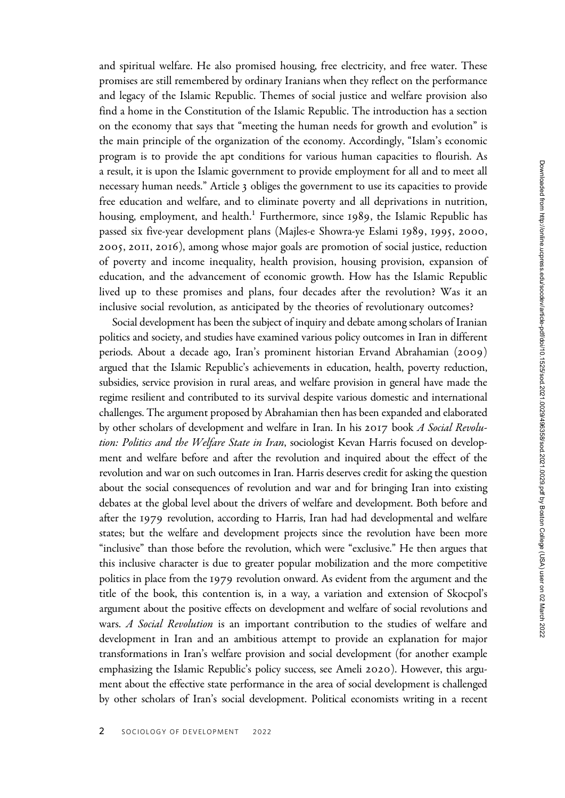and spiritual welfare. He also promised housing, free electricity, and free water. These promises are still remembered by ordinary Iranians when they reflect on the performance and legacy of the Islamic Republic. Themes of social justice and welfare provision also find a home in the Constitution of the Islamic Republic. The introduction has a section on the economy that says that "meeting the human needs for growth and evolution" is the main principle of the organization of the economy. Accordingly, "Islam's economic program is to provide the apt conditions for various human capacities to flourish. As a result, it is upon the Islamic government to provide employment for all and to meet all necessary human needs." Article 3 obliges the government to use its capacities to provide free education and welfare, and to eliminate poverty and all deprivations in nutrition, housing, employment, and health.<sup>1</sup> Furthermore, since 1989, the Islamic Republic has passed six five-year development plans (Majles-e Showra-ye Eslami 1989, 1995, 2000, 2005, 2011, 2016), among whose major goals are promotion of social justice, reduction of poverty and income inequality, health provision, housing provision, expansion of education, and the advancement of economic growth. How has the Islamic Republic lived up to these promises and plans, four decades after the revolution? Was it an inclusive social revolution, as anticipated by the theories of revolutionary outcomes?

Social development has been the subject of inquiry and debate among scholars of Iranian politics and society, and studies have examined various policy outcomes in Iran in different periods. About a decade ago, Iran's prominent historian Ervand Abrahamian (2009) argued that the Islamic Republic's achievements in education, health, poverty reduction, subsidies, service provision in rural areas, and welfare provision in general have made the regime resilient and contributed to its survival despite various domestic and international challenges. The argument proposed by Abrahamian then has been expanded and elaborated by other scholars of development and welfare in Iran. In his 2017 book A Social Revolution: Politics and the Welfare State in Iran, sociologist Kevan Harris focused on development and welfare before and after the revolution and inquired about the effect of the revolution and war on such outcomes in Iran. Harris deserves credit for asking the question about the social consequences of revolution and war and for bringing Iran into existing debates at the global level about the drivers of welfare and development. Both before and after the 1979 revolution, according to Harris, Iran had had developmental and welfare states; but the welfare and development projects since the revolution have been more "inclusive" than those before the revolution, which were "exclusive." He then argues that this inclusive character is due to greater popular mobilization and the more competitive politics in place from the 1979 revolution onward. As evident from the argument and the title of the book, this contention is, in a way, a variation and extension of Skocpol's argument about the positive effects on development and welfare of social revolutions and wars. A Social Revolution is an important contribution to the studies of welfare and development in Iran and an ambitious attempt to provide an explanation for major transformations in Iran's welfare provision and social development (for another example emphasizing the Islamic Republic's policy success, see Ameli 2020). However, this argument about the effective state performance in the area of social development is challenged by other scholars of Iran's social development. Political economists writing in a recent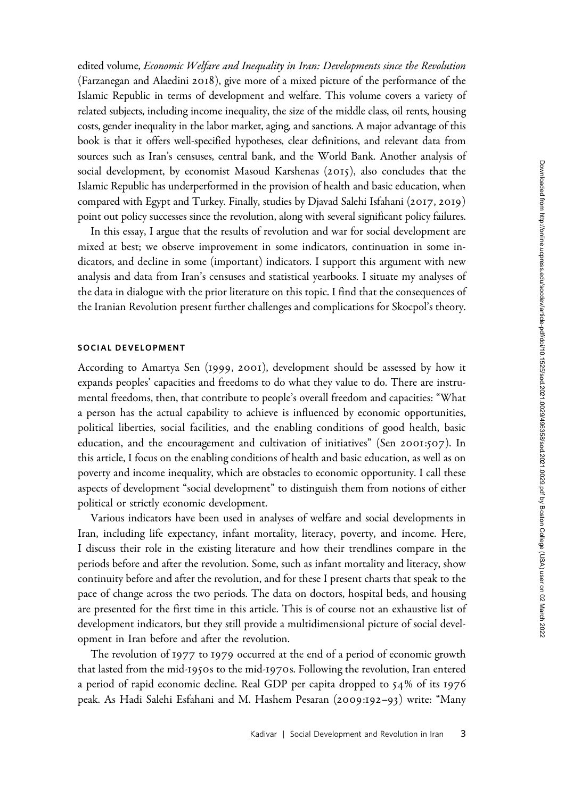edited volume, Economic Welfare and Inequality in Iran: Developments since the Revolution (Farzanegan and Alaedini 2018), give more of a mixed picture of the performance of the Islamic Republic in terms of development and welfare. This volume covers a variety of related subjects, including income inequality, the size of the middle class, oil rents, housing costs, gender inequality in the labor market, aging, and sanctions. A major advantage of this book is that it offers well-specified hypotheses, clear definitions, and relevant data from sources such as Iran's censuses, central bank, and the World Bank. Another analysis of social development, by economist Masoud Karshenas (2015), also concludes that the Islamic Republic has underperformed in the provision of health and basic education, when compared with Egypt and Turkey. Finally, studies by Djavad Salehi Isfahani (2017, 2019) point out policy successes since the revolution, along with several significant policy failures.

In this essay, I argue that the results of revolution and war for social development are mixed at best; we observe improvement in some indicators, continuation in some indicators, and decline in some (important) indicators. I support this argument with new analysis and data from Iran's censuses and statistical yearbooks. I situate my analyses of the data in dialogue with the prior literature on this topic. I find that the consequences of the Iranian Revolution present further challenges and complications for Skocpol's theory.

### SOCIAL DEVELOPMENT

According to Amartya Sen (1999, 2001), development should be assessed by how it expands peoples' capacities and freedoms to do what they value to do. There are instrumental freedoms, then, that contribute to people's overall freedom and capacities: "What a person has the actual capability to achieve is influenced by economic opportunities, political liberties, social facilities, and the enabling conditions of good health, basic education, and the encouragement and cultivation of initiatives" (Sen 2001:507). In this article, I focus on the enabling conditions of health and basic education, as well as on poverty and income inequality, which are obstacles to economic opportunity. I call these aspects of development "social development" to distinguish them from notions of either political or strictly economic development.

Various indicators have been used in analyses of welfare and social developments in Iran, including life expectancy, infant mortality, literacy, poverty, and income. Here, I discuss their role in the existing literature and how their trendlines compare in the periods before and after the revolution. Some, such as infant mortality and literacy, show continuity before and after the revolution, and for these I present charts that speak to the pace of change across the two periods. The data on doctors, hospital beds, and housing are presented for the first time in this article. This is of course not an exhaustive list of development indicators, but they still provide a multidimensional picture of social development in Iran before and after the revolution.

The revolution of 1977 to 1979 occurred at the end of a period of economic growth that lasted from the mid-1950s to the mid-1970s. Following the revolution, Iran entered a period of rapid economic decline. Real GDP per capita dropped to 54% of its 1976 peak. As Hadi Salehi Esfahani and M. Hashem Pesaran (2009:192–93) write: "Many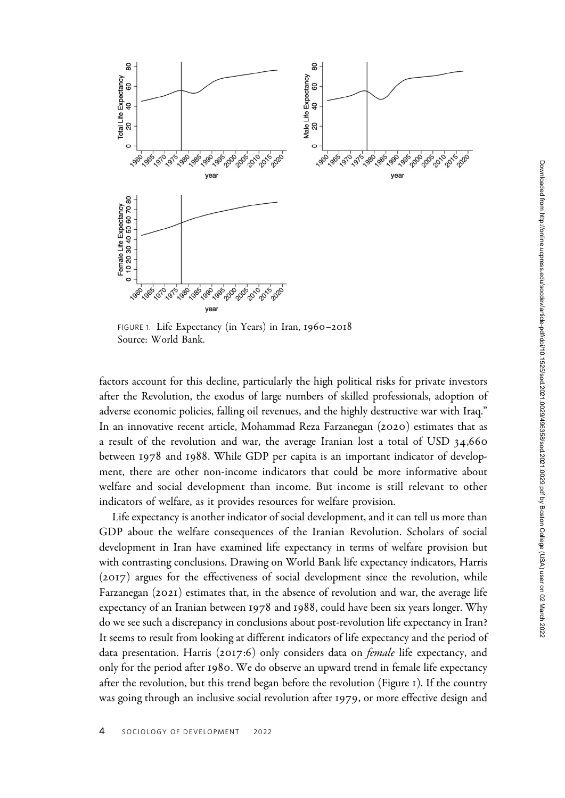

FIGURE 1. Life Expectancy (in Years) in Iran, 1960–2018 Source: World Bank.

factors account for this decline, particularly the high political risks for private investors after the Revolution, the exodus of large numbers of skilled professionals, adoption of adverse economic policies, falling oil revenues, and the highly destructive war with Iraq." In an innovative recent article, Mohammad Reza Farzanegan (2020) estimates that as a result of the revolution and war, the average Iranian lost a total of USD 34,660 between 1978 and 1988. While GDP per capita is an important indicator of development, there are other non-income indicators that could be more informative about welfare and social development than income. But income is still relevant to other indicators of welfare, as it provides resources for welfare provision.

Life expectancy is another indicator of social development, and it can tell us more than GDP about the welfare consequences of the Iranian Revolution. Scholars of social development in Iran have examined life expectancy in terms of welfare provision but with contrasting conclusions. Drawing on World Bank life expectancy indicators, Harris (2017) argues for the effectiveness of social development since the revolution, while Farzanegan (2021) estimates that, in the absence of revolution and war, the average life expectancy of an Iranian between 1978 and 1988, could have been six years longer. Why do we see such a discrepancy in conclusions about post-revolution life expectancy in Iran? It seems to result from looking at different indicators of life expectancy and the period of data presentation. Harris (2017:6) only considers data on female life expectancy, and only for the period after 1980. We do observe an upward trend in female life expectancy after the revolution, but this trend began before the revolution (Figure 1). If the country was going through an inclusive social revolution after 1979, or more effective design and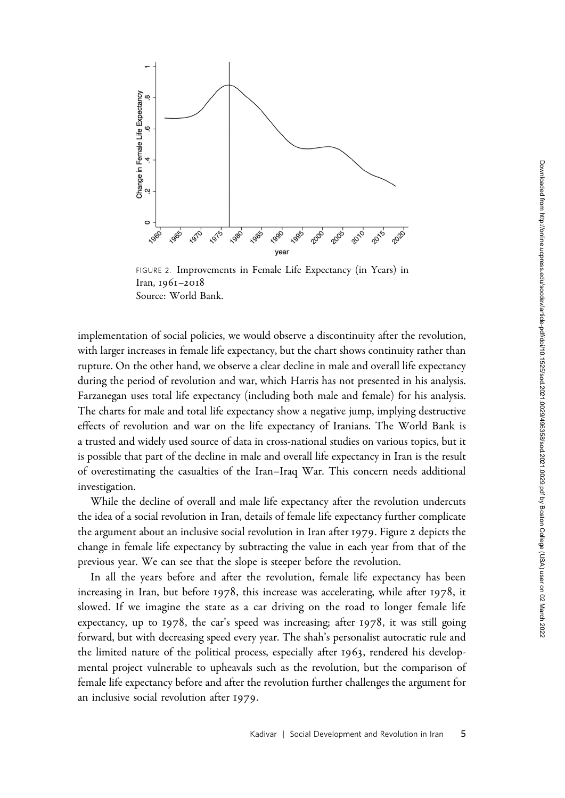

FIGURE 2. Improvements in Female Life Expectancy (in Years) in Iran, 1961–2018 Source: World Bank.

implementation of social policies, we would observe a discontinuity after the revolution, with larger increases in female life expectancy, but the chart shows continuity rather than rupture. On the other hand, we observe a clear decline in male and overall life expectancy during the period of revolution and war, which Harris has not presented in his analysis. Farzanegan uses total life expectancy (including both male and female) for his analysis. The charts for male and total life expectancy show a negative jump, implying destructive effects of revolution and war on the life expectancy of Iranians. The World Bank is a trusted and widely used source of data in cross-national studies on various topics, but it is possible that part of the decline in male and overall life expectancy in Iran is the result of overestimating the casualties of the Iran–Iraq War. This concern needs additional investigation.

While the decline of overall and male life expectancy after the revolution undercuts the idea of a social revolution in Iran, details of female life expectancy further complicate the argument about an inclusive social revolution in Iran after 1979. Figure 2 depicts the change in female life expectancy by subtracting the value in each year from that of the previous year. We can see that the slope is steeper before the revolution.

In all the years before and after the revolution, female life expectancy has been increasing in Iran, but before 1978, this increase was accelerating, while after 1978, it slowed. If we imagine the state as a car driving on the road to longer female life expectancy, up to 1978, the car's speed was increasing; after 1978, it was still going forward, but with decreasing speed every year. The shah's personalist autocratic rule and the limited nature of the political process, especially after 1963, rendered his developmental project vulnerable to upheavals such as the revolution, but the comparison of female life expectancy before and after the revolution further challenges the argument for an inclusive social revolution after 1979.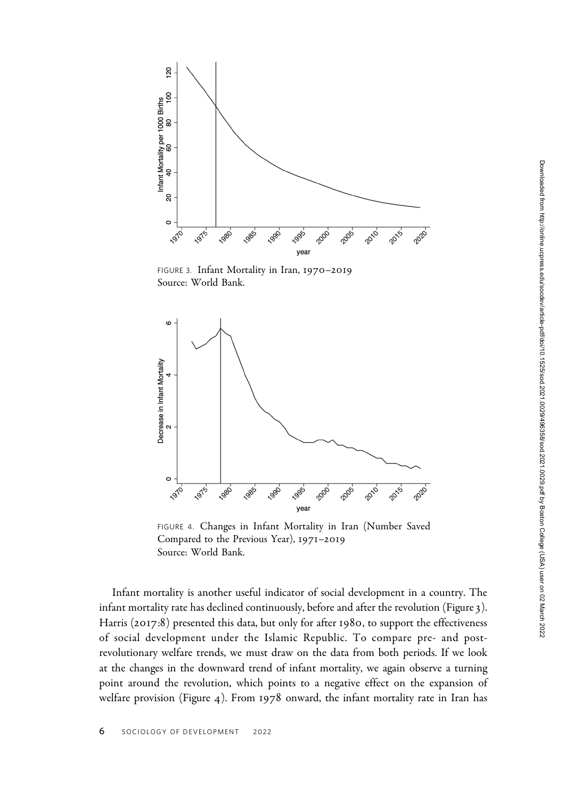

FIGURE 3. Infant Mortality in Iran, 1970–2019 Source: World Bank.



FIGURE 4. Changes in Infant Mortality in Iran (Number Saved Compared to the Previous Year), 1971–2019 Source: World Bank.

Infant mortality is another useful indicator of social development in a country. The infant mortality rate has declined continuously, before and after the revolution (Figure 3). Harris (2017:8) presented this data, but only for after 1980, to support the effectiveness of social development under the Islamic Republic. To compare pre- and postrevolutionary welfare trends, we must draw on the data from both periods. If we look at the changes in the downward trend of infant mortality, we again observe a turning point around the revolution, which points to a negative effect on the expansion of welfare provision (Figure 4). From 1978 onward, the infant mortality rate in Iran has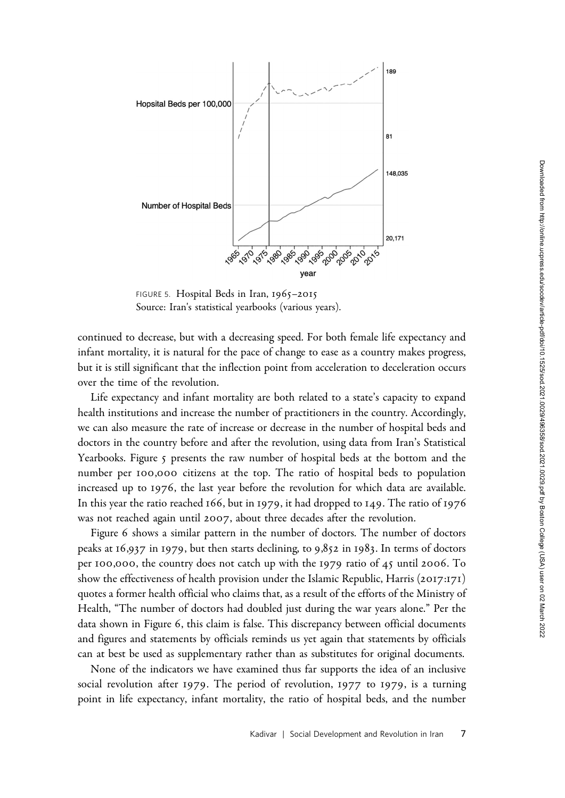

FIGURE 5. Hospital Beds in Iran, 1965-2015 Source: Iran's statistical yearbooks (various years).

continued to decrease, but with a decreasing speed. For both female life expectancy and infant mortality, it is natural for the pace of change to ease as a country makes progress, but it is still significant that the inflection point from acceleration to deceleration occurs over the time of the revolution.

Life expectancy and infant mortality are both related to a state's capacity to expand health institutions and increase the number of practitioners in the country. Accordingly, we can also measure the rate of increase or decrease in the number of hospital beds and doctors in the country before and after the revolution, using data from Iran's Statistical Yearbooks. Figure 5 presents the raw number of hospital beds at the bottom and the number per 100,000 citizens at the top. The ratio of hospital beds to population increased up to 1976, the last year before the revolution for which data are available. In this year the ratio reached 166, but in 1979, it had dropped to 149. The ratio of 1976 was not reached again until 2007, about three decades after the revolution.

Figure 6 shows a similar pattern in the number of doctors. The number of doctors peaks at 16,937 in 1979, but then starts declining, to 9,852 in 1983. In terms of doctors per 100,000, the country does not catch up with the 1979 ratio of 45 until 2006. To show the effectiveness of health provision under the Islamic Republic, Harris (2017:171) quotes a former health official who claims that, as a result of the efforts of the Ministry of Health, "The number of doctors had doubled just during the war years alone." Per the data shown in Figure 6, this claim is false. This discrepancy between official documents and figures and statements by officials reminds us yet again that statements by officials can at best be used as supplementary rather than as substitutes for original documents.

None of the indicators we have examined thus far supports the idea of an inclusive social revolution after 1979. The period of revolution, 1977 to 1979, is a turning point in life expectancy, infant mortality, the ratio of hospital beds, and the number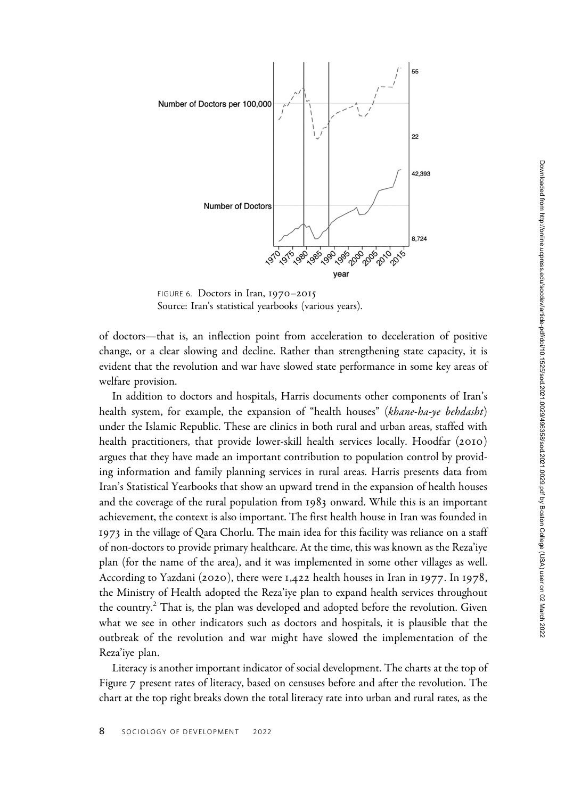

FIGURE 6. Doctors in Iran, 1970–2015 Source: Iran's statistical yearbooks (various years).

of doctors—that is, an inflection point from acceleration to deceleration of positive change, or a clear slowing and decline. Rather than strengthening state capacity, it is evident that the revolution and war have slowed state performance in some key areas of welfare provision.

In addition to doctors and hospitals, Harris documents other components of Iran's health system, for example, the expansion of "health houses" (khane-ha-ye behdasht) under the Islamic Republic. These are clinics in both rural and urban areas, staffed with health practitioners, that provide lower-skill health services locally. Hoodfar (2010) argues that they have made an important contribution to population control by providing information and family planning services in rural areas. Harris presents data from Iran's Statistical Yearbooks that show an upward trend in the expansion of health houses and the coverage of the rural population from 1983 onward. While this is an important achievement, the context is also important. The first health house in Iran was founded in 1973 in the village of Qara Chorlu. The main idea for this facility was reliance on a staff of non-doctors to provide primary healthcare. At the time, this was known as the Reza'iye plan (for the name of the area), and it was implemented in some other villages as well. According to Yazdani (2020), there were 1,422 health houses in Iran in 1977. In 1978, the Ministry of Health adopted the Reza'iye plan to expand health services throughout the country.<sup>2</sup> That is, the plan was developed and adopted before the revolution. Given what we see in other indicators such as doctors and hospitals, it is plausible that the outbreak of the revolution and war might have slowed the implementation of the Reza'iye plan.

Literacy is another important indicator of social development. The charts at the top of Figure 7 present rates of literacy, based on censuses before and after the revolution. The chart at the top right breaks down the total literacy rate into urban and rural rates, as the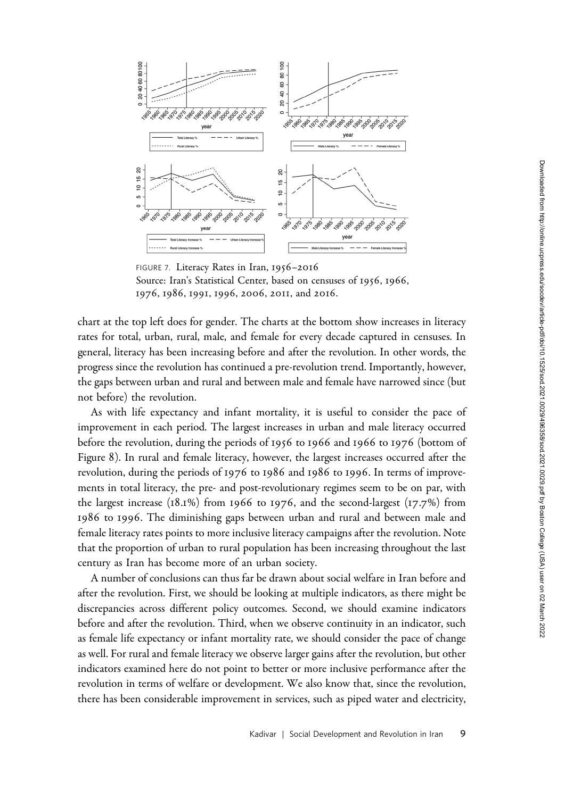

FIGURE 7. Literacy Rates in Iran, 1956–2016 Source: Iran's Statistical Center, based on censuses of 1956, 1966, 1976, 1986, 1991, 1996, 2006, 2011, and 2016.

chart at the top left does for gender. The charts at the bottom show increases in literacy rates for total, urban, rural, male, and female for every decade captured in censuses. In general, literacy has been increasing before and after the revolution. In other words, the progress since the revolution has continued a pre-revolution trend. Importantly, however, the gaps between urban and rural and between male and female have narrowed since (but not before) the revolution.

As with life expectancy and infant mortality, it is useful to consider the pace of improvement in each period. The largest increases in urban and male literacy occurred before the revolution, during the periods of 1956 to 1966 and 1966 to 1976 (bottom of Figure 8). In rural and female literacy, however, the largest increases occurred after the revolution, during the periods of 1976 to 1986 and 1986 to 1996. In terms of improvements in total literacy, the pre- and post-revolutionary regimes seem to be on par, with the largest increase  $(18.1\%)$  from 1966 to 1976, and the second-largest  $(17.7\%)$  from 1986 to 1996. The diminishing gaps between urban and rural and between male and female literacy rates points to more inclusive literacy campaigns after the revolution. Note that the proportion of urban to rural population has been increasing throughout the last century as Iran has become more of an urban society.

A number of conclusions can thus far be drawn about social welfare in Iran before and after the revolution. First, we should be looking at multiple indicators, as there might be discrepancies across different policy outcomes. Second, we should examine indicators before and after the revolution. Third, when we observe continuity in an indicator, such as female life expectancy or infant mortality rate, we should consider the pace of change as well. For rural and female literacy we observe larger gains after the revolution, but other indicators examined here do not point to better or more inclusive performance after the revolution in terms of welfare or development. We also know that, since the revolution, there has been considerable improvement in services, such as piped water and electricity,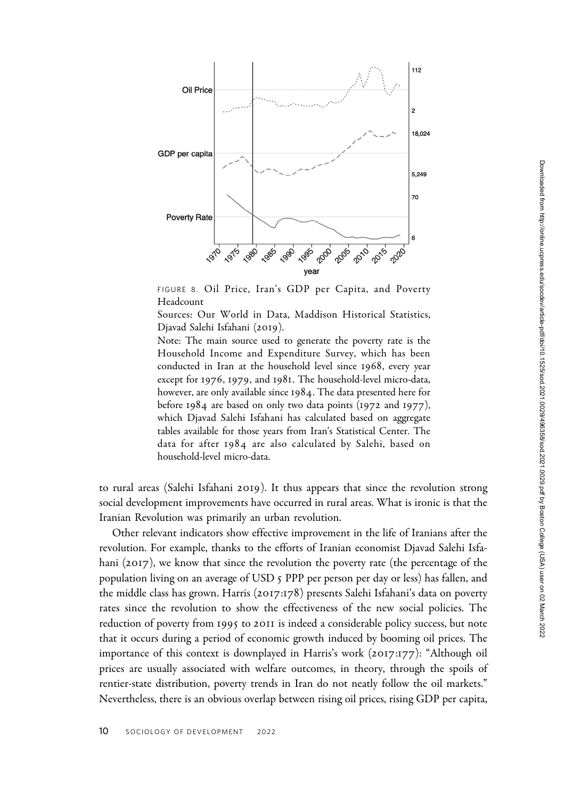

FIGURE 8. Oil Price, Iran's GDP per Capita, and Poverty Headcount

Sources: Our World in Data, Maddison Historical Statistics, Djavad Salehi Isfahani (2019).

Note: The main source used to generate the poverty rate is the Household Income and Expenditure Survey, which has been conducted in Iran at the household level since 1968, every year except for 1976, 1979, and 1981. The household-level micro-data, however, are only available since 1984. The data presented here for before 1984 are based on only two data points (1972 and 1977), which Djavad Salehi Isfahani has calculated based on aggregate tables available for those years from Iran's Statistical Center. The data for after 1984 are also calculated by Salehi, based on household-level micro-data.

to rural areas (Salehi Isfahani 2019). It thus appears that since the revolution strong social development improvements have occurred in rural areas. What is ironic is that the Iranian Revolution was primarily an urban revolution.

Other relevant indicators show effective improvement in the life of Iranians after the revolution. For example, thanks to the efforts of Iranian economist Djavad Salehi Isfahani (2017), we know that since the revolution the poverty rate (the percentage of the population living on an average of USD 5 PPP per person per day or less) has fallen, and the middle class has grown. Harris (2017:178) presents Salehi Isfahani's data on poverty rates since the revolution to show the effectiveness of the new social policies. The reduction of poverty from 1995 to 2011 is indeed a considerable policy success, but note that it occurs during a period of economic growth induced by booming oil prices. The importance of this context is downplayed in Harris's work (2017:177): "Although oil prices are usually associated with welfare outcomes, in theory, through the spoils of rentier-state distribution, poverty trends in Iran do not neatly follow the oil markets." Nevertheless, there is an obvious overlap between rising oil prices, rising GDP per capita,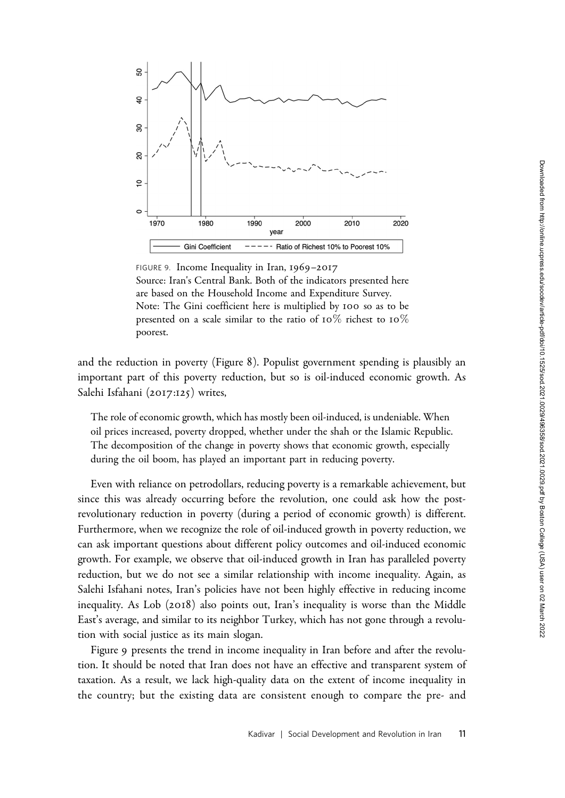

FIGURE 9. Income Inequality in Iran, 1969–2017 Source: Iran's Central Bank. Both of the indicators presented here are based on the Household Income and Expenditure Survey. Note: The Gini coefficient here is multiplied by 100 so as to be presented on a scale similar to the ratio of 10% richest to 10% poorest.

and the reduction in poverty (Figure 8). Populist government spending is plausibly an important part of this poverty reduction, but so is oil-induced economic growth. As Salehi Isfahani (2017:125) writes,

The role of economic growth, which has mostly been oil-induced, is undeniable. When oil prices increased, poverty dropped, whether under the shah or the Islamic Republic. The decomposition of the change in poverty shows that economic growth, especially during the oil boom, has played an important part in reducing poverty.

Even with reliance on petrodollars, reducing poverty is a remarkable achievement, but since this was already occurring before the revolution, one could ask how the postrevolutionary reduction in poverty (during a period of economic growth) is different. Furthermore, when we recognize the role of oil-induced growth in poverty reduction, we can ask important questions about different policy outcomes and oil-induced economic growth. For example, we observe that oil-induced growth in Iran has paralleled poverty reduction, but we do not see a similar relationship with income inequality. Again, as Salehi Isfahani notes, Iran's policies have not been highly effective in reducing income inequality. As Lob (2018) also points out, Iran's inequality is worse than the Middle East's average, and similar to its neighbor Turkey, which has not gone through a revolution with social justice as its main slogan.

Figure 9 presents the trend in income inequality in Iran before and after the revolution. It should be noted that Iran does not have an effective and transparent system of taxation. As a result, we lack high-quality data on the extent of income inequality in the country; but the existing data are consistent enough to compare the pre- and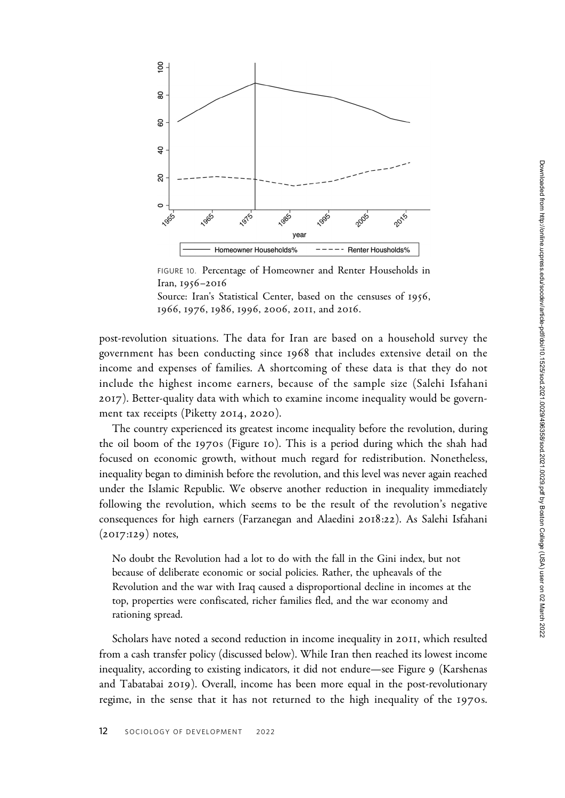

FIGURE 10. Percentage of Homeowner and Renter Households in Iran, 1956–2016

Source: Iran's Statistical Center, based on the censuses of 1956, 1966, 1976, 1986, 1996, 2006, 2011, and 2016.

post-revolution situations. The data for Iran are based on a household survey the government has been conducting since 1968 that includes extensive detail on the income and expenses of families. A shortcoming of these data is that they do not include the highest income earners, because of the sample size (Salehi Isfahani 2017). Better-quality data with which to examine income inequality would be government tax receipts (Piketty 2014, 2020).

The country experienced its greatest income inequality before the revolution, during the oil boom of the 1970s (Figure 10). This is a period during which the shah had focused on economic growth, without much regard for redistribution. Nonetheless, inequality began to diminish before the revolution, and this level was never again reached under the Islamic Republic. We observe another reduction in inequality immediately following the revolution, which seems to be the result of the revolution's negative consequences for high earners (Farzanegan and Alaedini 2018:22). As Salehi Isfahani  $(2017:129)$  notes,

No doubt the Revolution had a lot to do with the fall in the Gini index, but not because of deliberate economic or social policies. Rather, the upheavals of the Revolution and the war with Iraq caused a disproportional decline in incomes at the top, properties were confiscated, richer families fled, and the war economy and rationing spread.

Scholars have noted a second reduction in income inequality in 2011, which resulted from a cash transfer policy (discussed below). While Iran then reached its lowest income inequality, according to existing indicators, it did not endure—see Figure 9 (Karshenas and Tabatabai 2019). Overall, income has been more equal in the post-revolutionary regime, in the sense that it has not returned to the high inequality of the 1970s.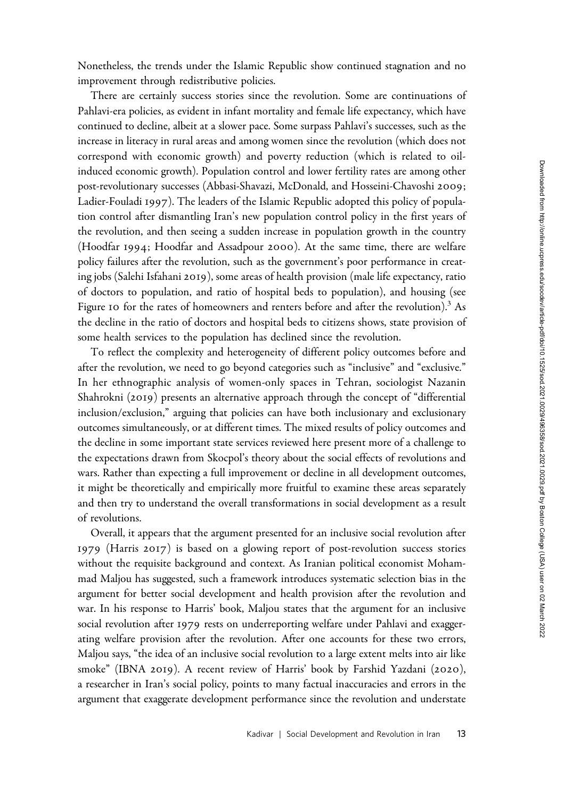There are certainly success stories since the revolution. Some are continuations of Pahlavi-era policies, as evident in infant mortality and female life expectancy, which have continued to decline, albeit at a slower pace. Some surpass Pahlavi's successes, such as the increase in literacy in rural areas and among women since the revolution (which does not correspond with economic growth) and poverty reduction (which is related to oilinduced economic growth). Population control and lower fertility rates are among other post-revolutionary successes (Abbasi-Shavazi, McDonald, and Hosseini-Chavoshi 2009; Ladier-Fouladi 1997). The leaders of the Islamic Republic adopted this policy of population control after dismantling Iran's new population control policy in the first years of the revolution, and then seeing a sudden increase in population growth in the country (Hoodfar 1994; Hoodfar and Assadpour 2000). At the same time, there are welfare policy failures after the revolution, such as the government's poor performance in creating jobs (Salehi Isfahani 2019), some areas of health provision (male life expectancy, ratio of doctors to population, and ratio of hospital beds to population), and housing (see Figure 10 for the rates of homeowners and renters before and after the revolution).<sup>3</sup> As the decline in the ratio of doctors and hospital beds to citizens shows, state provision of some health services to the population has declined since the revolution.

To reflect the complexity and heterogeneity of different policy outcomes before and after the revolution, we need to go beyond categories such as "inclusive" and "exclusive." In her ethnographic analysis of women-only spaces in Tehran, sociologist Nazanin Shahrokni (2019) presents an alternative approach through the concept of "differential inclusion/exclusion," arguing that policies can have both inclusionary and exclusionary outcomes simultaneously, or at different times. The mixed results of policy outcomes and the decline in some important state services reviewed here present more of a challenge to the expectations drawn from Skocpol's theory about the social effects of revolutions and wars. Rather than expecting a full improvement or decline in all development outcomes, it might be theoretically and empirically more fruitful to examine these areas separately and then try to understand the overall transformations in social development as a result of revolutions.

Overall, it appears that the argument presented for an inclusive social revolution after 1979 (Harris 2017) is based on a glowing report of post-revolution success stories without the requisite background and context. As Iranian political economist Mohammad Maljou has suggested, such a framework introduces systematic selection bias in the argument for better social development and health provision after the revolution and war. In his response to Harris' book, Maljou states that the argument for an inclusive social revolution after 1979 rests on underreporting welfare under Pahlavi and exaggerating welfare provision after the revolution. After one accounts for these two errors, Maljou says, "the idea of an inclusive social revolution to a large extent melts into air like smoke" (IBNA 2019). A recent review of Harris' book by Farshid Yazdani (2020), a researcher in Iran's social policy, points to many factual inaccuracies and errors in the argument that exaggerate development performance since the revolution and understate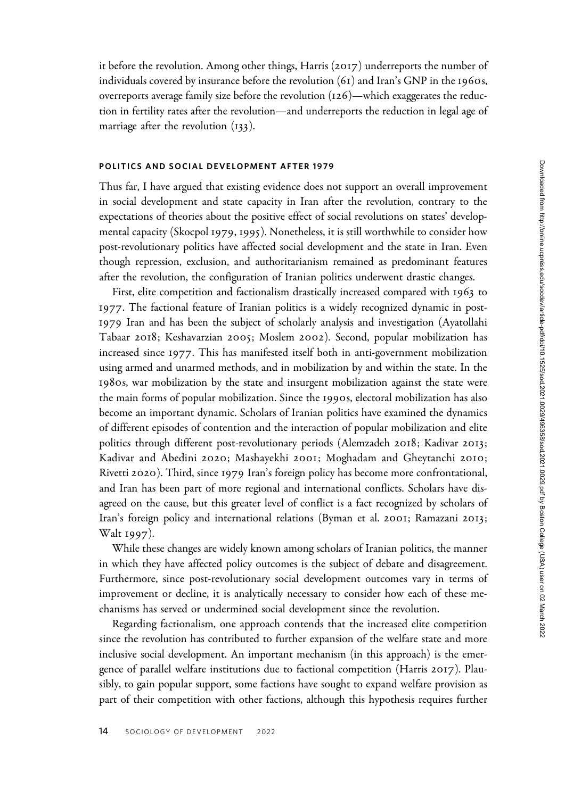it before the revolution. Among other things, Harris (2017) underreports the number of individuals covered by insurance before the revolution  $(61)$  and Iran's GNP in the 1960s, overreports average family size before the revolution (126)—which exaggerates the reduction in fertility rates after the revolution—and underreports the reduction in legal age of marriage after the revolution (133).

## POLITICS AND SOCIAL DEVELOPMENT AFTER 1979

Thus far, I have argued that existing evidence does not support an overall improvement in social development and state capacity in Iran after the revolution, contrary to the expectations of theories about the positive effect of social revolutions on states' developmental capacity (Skocpol 1979, 1995). Nonetheless, it is still worthwhile to consider how post-revolutionary politics have affected social development and the state in Iran. Even though repression, exclusion, and authoritarianism remained as predominant features after the revolution, the configuration of Iranian politics underwent drastic changes.

First, elite competition and factionalism drastically increased compared with 1963 to 1977. The factional feature of Iranian politics is a widely recognized dynamic in post-1979 Iran and has been the subject of scholarly analysis and investigation (Ayatollahi Tabaar 2018; Keshavarzian 2005; Moslem 2002). Second, popular mobilization has increased since 1977. This has manifested itself both in anti-government mobilization using armed and unarmed methods, and in mobilization by and within the state. In the 1980s, war mobilization by the state and insurgent mobilization against the state were the main forms of popular mobilization. Since the 1990s, electoral mobilization has also become an important dynamic. Scholars of Iranian politics have examined the dynamics of different episodes of contention and the interaction of popular mobilization and elite politics through different post-revolutionary periods (Alemzadeh 2018; Kadivar 2013; Kadivar and Abedini 2020; Mashayekhi 2001; Moghadam and Gheytanchi 2010; Rivetti 2020). Third, since 1979 Iran's foreign policy has become more confrontational, and Iran has been part of more regional and international conflicts. Scholars have disagreed on the cause, but this greater level of conflict is a fact recognized by scholars of Iran's foreign policy and international relations (Byman et al. 2001; Ramazani 2013; Walt 1997).

While these changes are widely known among scholars of Iranian politics, the manner in which they have affected policy outcomes is the subject of debate and disagreement. Furthermore, since post-revolutionary social development outcomes vary in terms of improvement or decline, it is analytically necessary to consider how each of these mechanisms has served or undermined social development since the revolution.

Regarding factionalism, one approach contends that the increased elite competition since the revolution has contributed to further expansion of the welfare state and more inclusive social development. An important mechanism (in this approach) is the emergence of parallel welfare institutions due to factional competition (Harris 2017). Plausibly, to gain popular support, some factions have sought to expand welfare provision as part of their competition with other factions, although this hypothesis requires further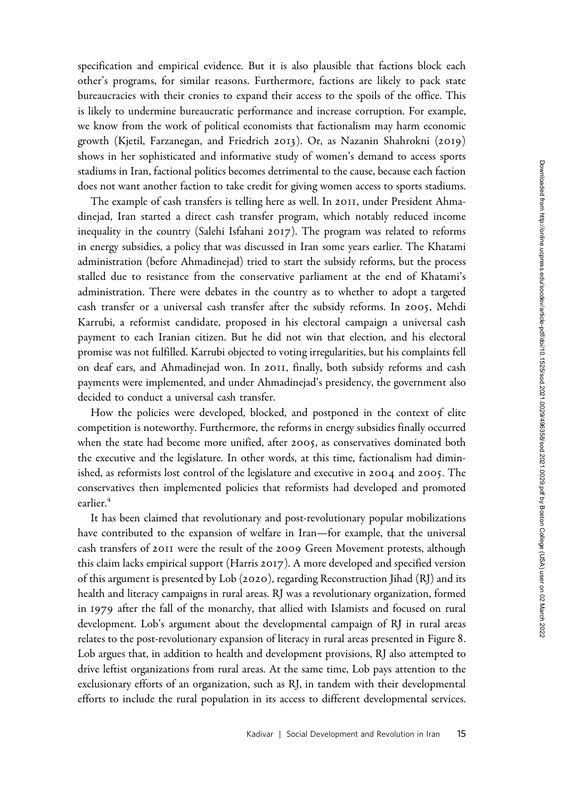specification and empirical evidence. But it is also plausible that factions block each other's programs, for similar reasons. Furthermore, factions are likely to pack state bureaucracies with their cronies to expand their access to the spoils of the office. This is likely to undermine bureaucratic performance and increase corruption. For example, we know from the work of political economists that factionalism may harm economic growth (Kjetil, Farzanegan, and Friedrich 2013). Or, as Nazanin Shahrokni (2019) shows in her sophisticated and informative study of women's demand to access sports stadiums in Iran, factional politics becomes detrimental to the cause, because each faction does not want another faction to take credit for giving women access to sports stadiums.

The example of cash transfers is telling here as well. In 2011, under President Ahmadinejad, Iran started a direct cash transfer program, which notably reduced income inequality in the country (Salehi Isfahani 2017). The program was related to reforms in energy subsidies, a policy that was discussed in Iran some years earlier. The Khatami administration (before Ahmadinejad) tried to start the subsidy reforms, but the process stalled due to resistance from the conservative parliament at the end of Khatami's administration. There were debates in the country as to whether to adopt a targeted cash transfer or a universal cash transfer after the subsidy reforms. In 2005, Mehdi Karrubi, a reformist candidate, proposed in his electoral campaign a universal cash payment to each Iranian citizen. But he did not win that election, and his electoral promise was not fulfilled. Karrubi objected to voting irregularities, but his complaints fell on deaf ears, and Ahmadinejad won. In 2011, finally, both subsidy reforms and cash payments were implemented, and under Ahmadinejad's presidency, the government also decided to conduct a universal cash transfer.

How the policies were developed, blocked, and postponed in the context of elite competition is noteworthy. Furthermore, the reforms in energy subsidies finally occurred when the state had become more unified, after 2005, as conservatives dominated both the executive and the legislature. In other words, at this time, factionalism had diminished, as reformists lost control of the legislature and executive in 2004 and 2005. The conservatives then implemented policies that reformists had developed and promoted earlier.<sup>4</sup>

It has been claimed that revolutionary and post-revolutionary popular mobilizations have contributed to the expansion of welfare in Iran—for example, that the universal cash transfers of 2011 were the result of the 2009 Green Movement protests, although this claim lacks empirical support (Harris 2017). A more developed and specified version of this argument is presented by Lob (2020), regarding Reconstruction Jihad (RJ) and its health and literacy campaigns in rural areas. RJ was a revolutionary organization, formed in 1979 after the fall of the monarchy, that allied with Islamists and focused on rural development. Lob's argument about the developmental campaign of RJ in rural areas relates to the post-revolutionary expansion of literacy in rural areas presented in Figure 8. Lob argues that, in addition to health and development provisions, RJ also attempted to drive leftist organizations from rural areas. At the same time, Lob pays attention to the exclusionary efforts of an organization, such as RJ, in tandem with their developmental efforts to include the rural population in its access to different developmental services.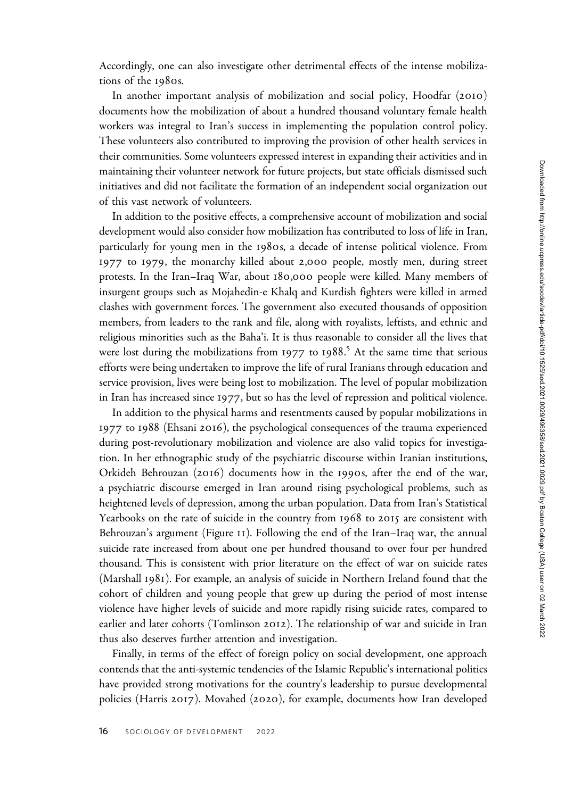In another important analysis of mobilization and social policy, Hoodfar (2010) documents how the mobilization of about a hundred thousand voluntary female health workers was integral to Iran's success in implementing the population control policy. These volunteers also contributed to improving the provision of other health services in their communities. Some volunteers expressed interest in expanding their activities and in maintaining their volunteer network for future projects, but state officials dismissed such initiatives and did not facilitate the formation of an independent social organization out of this vast network of volunteers.

In addition to the positive effects, a comprehensive account of mobilization and social development would also consider how mobilization has contributed to loss of life in Iran, particularly for young men in the 1980s, a decade of intense political violence. From 1977 to 1979, the monarchy killed about 2,000 people, mostly men, during street protests. In the Iran–Iraq War, about 180,000 people were killed. Many members of insurgent groups such as Mojahedin-e Khalq and Kurdish fighters were killed in armed clashes with government forces. The government also executed thousands of opposition members, from leaders to the rank and file, along with royalists, leftists, and ethnic and religious minorities such as the Baha'i. It is thus reasonable to consider all the lives that were lost during the mobilizations from 1977 to 1988. <sup>5</sup> At the same time that serious efforts were being undertaken to improve the life of rural Iranians through education and service provision, lives were being lost to mobilization. The level of popular mobilization in Iran has increased since 1977, but so has the level of repression and political violence.

In addition to the physical harms and resentments caused by popular mobilizations in 1977 to 1988 (Ehsani 2016), the psychological consequences of the trauma experienced during post-revolutionary mobilization and violence are also valid topics for investigation. In her ethnographic study of the psychiatric discourse within Iranian institutions, Orkideh Behrouzan (2016) documents how in the 1990s, after the end of the war, a psychiatric discourse emerged in Iran around rising psychological problems, such as heightened levels of depression, among the urban population. Data from Iran's Statistical Yearbooks on the rate of suicide in the country from 1968 to 2015 are consistent with Behrouzan's argument (Figure 11). Following the end of the Iran–Iraq war, the annual suicide rate increased from about one per hundred thousand to over four per hundred thousand. This is consistent with prior literature on the effect of war on suicide rates (Marshall 1981). For example, an analysis of suicide in Northern Ireland found that the cohort of children and young people that grew up during the period of most intense violence have higher levels of suicide and more rapidly rising suicide rates, compared to earlier and later cohorts (Tomlinson 2012). The relationship of war and suicide in Iran thus also deserves further attention and investigation.

Finally, in terms of the effect of foreign policy on social development, one approach contends that the anti-systemic tendencies of the Islamic Republic's international politics have provided strong motivations for the country's leadership to pursue developmental policies (Harris 2017). Movahed (2020), for example, documents how Iran developed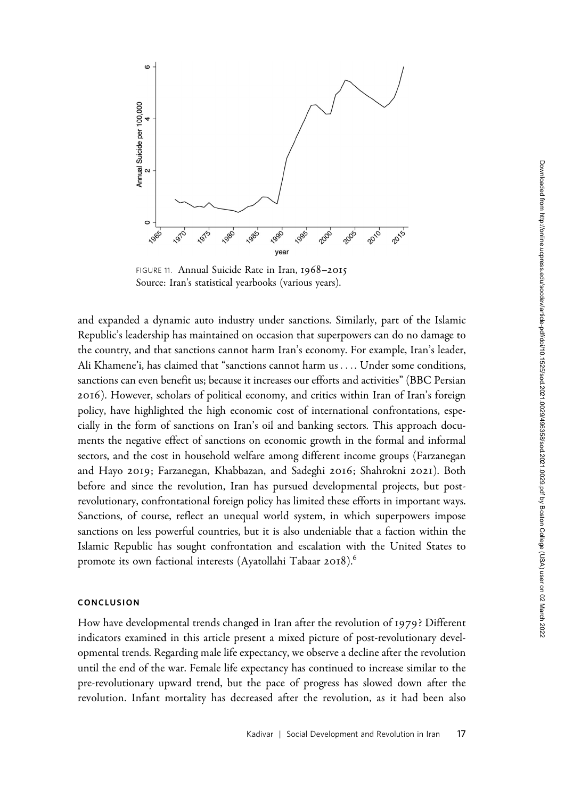

FIGURE 11. Annual Suicide Rate in Iran, 1968–2015 Source: Iran's statistical yearbooks (various years).

and expanded a dynamic auto industry under sanctions. Similarly, part of the Islamic Republic's leadership has maintained on occasion that superpowers can do no damage to the country, and that sanctions cannot harm Iran's economy. For example, Iran's leader, Ali Khamene'i, has claimed that "sanctions cannot harm us .... Under some conditions, sanctions can even benefit us; because it increases our efforts and activities" (BBC Persian 2016). However, scholars of political economy, and critics within Iran of Iran's foreign policy, have highlighted the high economic cost of international confrontations, especially in the form of sanctions on Iran's oil and banking sectors. This approach documents the negative effect of sanctions on economic growth in the formal and informal sectors, and the cost in household welfare among different income groups (Farzanegan and Hayo 2019; Farzanegan, Khabbazan, and Sadeghi 2016; Shahrokni 2021). Both before and since the revolution, Iran has pursued developmental projects, but postrevolutionary, confrontational foreign policy has limited these efforts in important ways. Sanctions, of course, reflect an unequal world system, in which superpowers impose sanctions on less powerful countries, but it is also undeniable that a faction within the Islamic Republic has sought confrontation and escalation with the United States to promote its own factional interests (Ayatollahi Tabaar 2018).<sup>6</sup>

## CONCLUSION

How have developmental trends changed in Iran after the revolution of 1979? Different indicators examined in this article present a mixed picture of post-revolutionary developmental trends. Regarding male life expectancy, we observe a decline after the revolution until the end of the war. Female life expectancy has continued to increase similar to the pre-revolutionary upward trend, but the pace of progress has slowed down after the revolution. Infant mortality has decreased after the revolution, as it had been also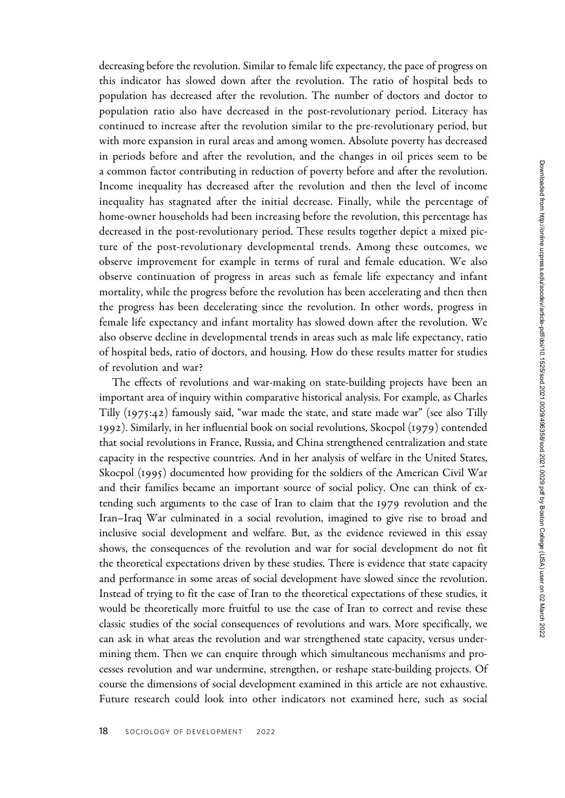decreasing before the revolution. Similar to female life expectancy, the pace of progress on this indicator has slowed down after the revolution. The ratio of hospital beds to population has decreased after the revolution. The number of doctors and doctor to population ratio also have decreased in the post-revolutionary period. Literacy has continued to increase after the revolution similar to the pre-revolutionary period, but with more expansion in rural areas and among women. Absolute poverty has decreased in periods before and after the revolution, and the changes in oil prices seem to be a common factor contributing in reduction of poverty before and after the revolution. Income inequality has decreased after the revolution and then the level of income inequality has stagnated after the initial decrease. Finally, while the percentage of home-owner households had been increasing before the revolution, this percentage has decreased in the post-revolutionary period. These results together depict a mixed picture of the post-revolutionary developmental trends. Among these outcomes, we observe improvement for example in terms of rural and female education. We also observe continuation of progress in areas such as female life expectancy and infant mortality, while the progress before the revolution has been accelerating and then then the progress has been decelerating since the revolution. In other words, progress in female life expectancy and infant mortality has slowed down after the revolution. We also observe decline in developmental trends in areas such as male life expectancy, ratio of hospital beds, ratio of doctors, and housing. How do these results matter for studies of revolution and war?

The effects of revolutions and war-making on state-building projects have been an important area of inquiry within comparative historical analysis. For example, as Charles Tilly (1975:42) famously said, "war made the state, and state made war" (see also Tilly 1992). Similarly, in her influential book on social revolutions, Skocpol (1979) contended that social revolutions in France, Russia, and China strengthened centralization and state capacity in the respective countries. And in her analysis of welfare in the United States, Skocpol (1995) documented how providing for the soldiers of the American Civil War and their families became an important source of social policy. One can think of extending such arguments to the case of Iran to claim that the 1979 revolution and the Iran–Iraq War culminated in a social revolution, imagined to give rise to broad and inclusive social development and welfare. But, as the evidence reviewed in this essay shows, the consequences of the revolution and war for social development do not fit the theoretical expectations driven by these studies. There is evidence that state capacity and performance in some areas of social development have slowed since the revolution. Instead of trying to fit the case of Iran to the theoretical expectations of these studies, it would be theoretically more fruitful to use the case of Iran to correct and revise these classic studies of the social consequences of revolutions and wars. More specifically, we can ask in what areas the revolution and war strengthened state capacity, versus undermining them. Then we can enquire through which simultaneous mechanisms and processes revolution and war undermine, strengthen, or reshape state-building projects. Of course the dimensions of social development examined in this article are not exhaustive. Future research could look into other indicators not examined here, such as social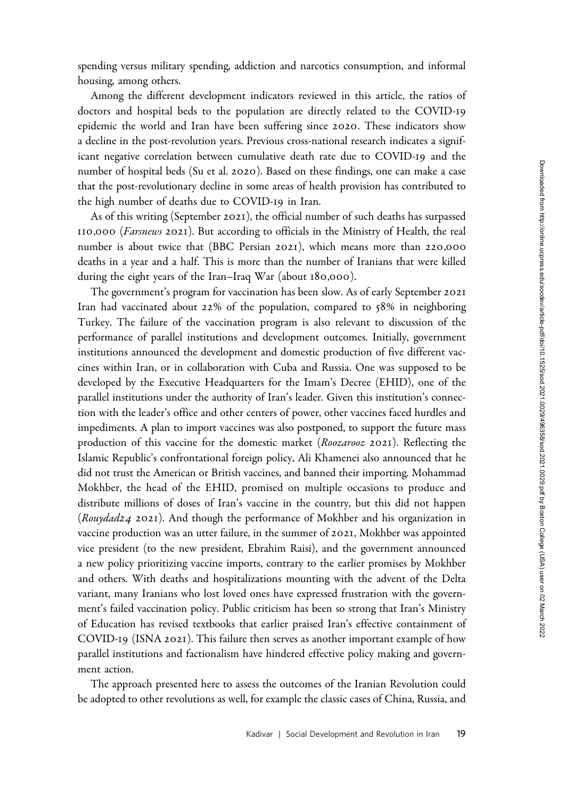spending versus military spending, addiction and narcotics consumption, and informal housing, among others.

Among the different development indicators reviewed in this article, the ratios of doctors and hospital beds to the population are directly related to the COVID-19 epidemic the world and Iran have been suffering since 2020. These indicators show a decline in the post-revolution years. Previous cross-national research indicates a significant negative correlation between cumulative death rate due to COVID-19 and the number of hospital beds (Su et al. 2020). Based on these findings, one can make a case that the post-revolutionary decline in some areas of health provision has contributed to the high number of deaths due to COVID-19 in Iran.

As of this writing (September 2021), the official number of such deaths has surpassed 110,000 (Farsnews 2021). But according to officials in the Ministry of Health, the real number is about twice that (BBC Persian 2021), which means more than 220,000 deaths in a year and a half. This is more than the number of Iranians that were killed during the eight years of the Iran–Iraq War (about 180,000).

The government's program for vaccination has been slow. As of early September 2021 Iran had vaccinated about 22% of the population, compared to 58% in neighboring Turkey. The failure of the vaccination program is also relevant to discussion of the performance of parallel institutions and development outcomes. Initially, government institutions announced the development and domestic production of five different vaccines within Iran, or in collaboration with Cuba and Russia. One was supposed to be developed by the Executive Headquarters for the Imam's Decree (EHID), one of the parallel institutions under the authority of Iran's leader. Given this institution's connection with the leader's office and other centers of power, other vaccines faced hurdles and impediments. A plan to import vaccines was also postponed, to support the future mass production of this vaccine for the domestic market (Roozarooz 2021). Reflecting the Islamic Republic's confrontational foreign policy, Ali Khamenei also announced that he did not trust the American or British vaccines, and banned their importing. Mohammad Mokhber, the head of the EHID, promised on multiple occasions to produce and distribute millions of doses of Iran's vaccine in the country, but this did not happen (Rouydad24 2021). And though the performance of Mokhber and his organization in vaccine production was an utter failure, in the summer of 2021, Mokhber was appointed vice president (to the new president, Ebrahim Raisi), and the government announced a new policy prioritizing vaccine imports, contrary to the earlier promises by Mokhber and others. With deaths and hospitalizations mounting with the advent of the Delta variant, many Iranians who lost loved ones have expressed frustration with the government's failed vaccination policy. Public criticism has been so strong that Iran's Ministry of Education has revised textbooks that earlier praised Iran's effective containment of COVID-19 (ISNA 2021). This failure then serves as another important example of how parallel institutions and factionalism have hindered effective policy making and government action.

The approach presented here to assess the outcomes of the Iranian Revolution could be adopted to other revolutions as well, for example the classic cases of China, Russia, and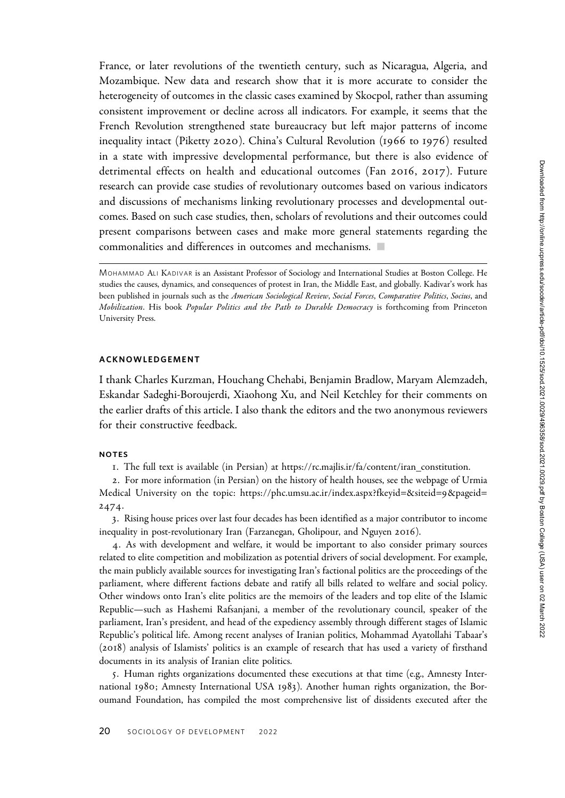France, or later revolutions of the twentieth century, such as Nicaragua, Algeria, and Mozambique. New data and research show that it is more accurate to consider the heterogeneity of outcomes in the classic cases examined by Skocpol, rather than assuming consistent improvement or decline across all indicators. For example, it seems that the French Revolution strengthened state bureaucracy but left major patterns of income inequality intact (Piketty 2020). China's Cultural Revolution (1966 to 1976) resulted in a state with impressive developmental performance, but there is also evidence of detrimental effects on health and educational outcomes (Fan 2016, 2017). Future research can provide case studies of revolutionary outcomes based on various indicators and discussions of mechanisms linking revolutionary processes and developmental outcomes. Based on such case studies, then, scholars of revolutions and their outcomes could present comparisons between cases and make more general statements regarding the commonalities and differences in outcomes and mechanisms.  $\Box$ 

## ACKNOWLEDGEMENT

I thank Charles Kurzman, Houchang Chehabi, Benjamin Bradlow, Maryam Alemzadeh, Eskandar Sadeghi-Boroujerdi, Xiaohong Xu, and Neil Ketchley for their comments on the earlier drafts of this article. I also thank the editors and the two anonymous reviewers for their constructive feedback.

### NOTES

1. The full text is available (in Persian) at https://rc.majlis.ir/fa/content/iran\_constitution.

2. For more information (in Persian) on the history of health houses, see the webpage of Urmia Medical University on the topic: https://phc.umsu.ac.ir/index.aspx?fkeyid=&siteid=9&pageid= 2474.

3. Rising house prices over last four decades has been identified as a major contributor to income inequality in post-revolutionary Iran (Farzanegan, Gholipour, and Nguyen 2016).

4. As with development and welfare, it would be important to also consider primary sources related to elite competition and mobilization as potential drivers of social development. For example, the main publicly available sources for investigating Iran's factional politics are the proceedings of the parliament, where different factions debate and ratify all bills related to welfare and social policy. Other windows onto Iran's elite politics are the memoirs of the leaders and top elite of the Islamic Republic—such as Hashemi Rafsanjani, a member of the revolutionary council, speaker of the parliament, Iran's president, and head of the expediency assembly through different stages of Islamic Republic's political life. Among recent analyses of Iranian politics, Mohammad Ayatollahi Tabaar's (2018) analysis of Islamists' politics is an example of research that has used a variety of firsthand documents in its analysis of Iranian elite politics.

5. Human rights organizations documented these executions at that time (e.g., Amnesty International 1980; Amnesty International USA 1983). Another human rights organization, the Boroumand Foundation, has compiled the most comprehensive list of dissidents executed after the

MOHAMMAD ALI KADIVAR is an Assistant Professor of Sociology and International Studies at Boston College. He studies the causes, dynamics, and consequences of protest in Iran, the Middle East, and globally. Kadivar's work has been published in journals such as the American Sociological Review, Social Forces, Comparative Politics, Socius, and Mobilization. His book Popular Politics and the Path to Durable Democracy is forthcoming from Princeton University Press.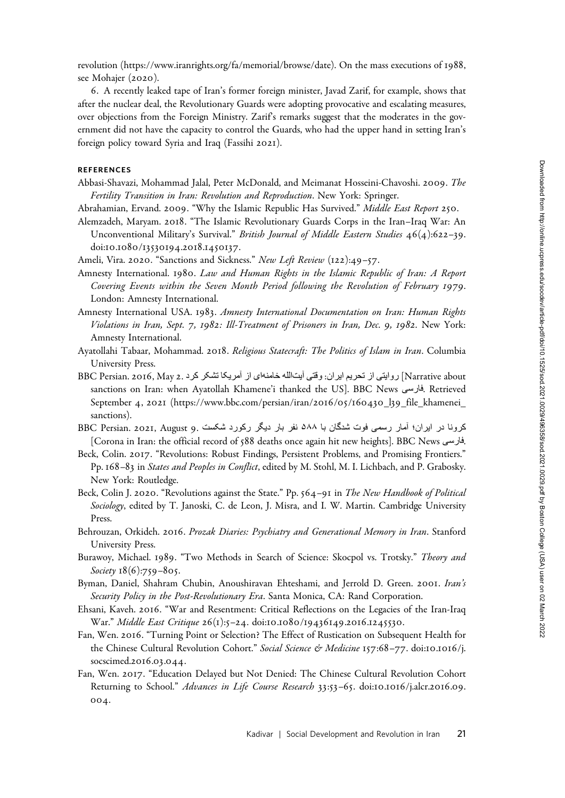6. A recently leaked tape of Iran's former foreign minister, Javad Zarif, for example, shows that after the nuclear deal, the Revolutionary Guards were adopting provocative and escalating measures, over objections from the Foreign Ministry. Zarif's remarks suggest that the moderates in the government did not have the capacity to control the Guards, who had the upper hand in setting Iran's foreign policy toward Syria and Iraq (Fassihi 2021).

#### REFERENCES

Abbasi-Shavazi, Mohammad Jalal, Peter McDonald, and Meimanat Hosseini-Chavoshi. 2009. The Fertility Transition in Iran: Revolution and Reproduction. New York: Springer.

Abrahamian, Ervand. 2009. "Why the Islamic Republic Has Survived." Middle East Report 250.

- Alemzadeh, Maryam. 2018. "The Islamic Revolutionary Guards Corps in the Iran–Iraq War: An Unconventional Military's Survival." British Journal of Middle Eastern Studies 46(4):622-39. doi:10.1080/13530194.2018.1450137.
- Ameli, Vira. 2020. "Sanctions and Sickness." New Left Review (122):49-57.
- Amnesty International. 1980. Law and Human Rights in the Islamic Republic of Iran: A Report Covering Events within the Seven Month Period following the Revolution of February 1979. London: Amnesty International.
- Amnesty International USA. 1983. Amnesty International Documentation on Iran: Human Rights Violations in Iran, Sept. 7, 1982: Ill-Treatment of Prisoners in Iran, Dec. 9, 1982. New York: Amnesty International.
- Ayatollahi Tabaar, Mohammad. 2018. Religious Statecraft: The Politics of Islam in Iran. Columbia University Press.
- Narrative about [روایتی از تحریم ایران: وقتی آیتاالله خامنهای از آمریکا تشکر کرد .BBC Persian. 2016, May 2 sanctions on Iran: when Ayatollah Khamene'i thanked the US]. BBC News ی سراف . Retrieved September 4, 2021 (https://www.bbc.com/persian/iran/2016/05/160430\_l39\_file\_khamenei\_ sanctions).
- کرونا در ابران؛ آمار رسمی فوت شدگان با ۵۸۸ نفر بار دیگر رکورد شکست .BBC Persian. 2021, August 9 [Corona in Iran: the official record of 588 deaths once again hit new heights]. BBC News ی سراف .
- Beck, Colin. 2017. "Revolutions: Robust Findings, Persistent Problems, and Promising Frontiers." Pp. 168–83 in States and Peoples in Conflict, edited by M. Stohl, M. I. Lichbach, and P. Grabosky. New York: Routledge.
- Beck, Colin J. 2020. "Revolutions against the State." Pp. 564-91 in The New Handbook of Political Sociology, edited by T. Janoski, C. de Leon, J. Misra, and I. W. Martin. Cambridge University Press.
- Behrouzan, Orkideh. 2016. Prozak Diaries: Psychiatry and Generational Memory in Iran. Stanford University Press.
- Burawoy, Michael. 1989. "Two Methods in Search of Science: Skocpol vs. Trotsky." Theory and Society 18(6):759-805.
- Byman, Daniel, Shahram Chubin, Anoushiravan Ehteshami, and Jerrold D. Green. 2001. Iran's Security Policy in the Post-Revolutionary Era. Santa Monica, CA: Rand Corporation.
- Ehsani, Kaveh. 2016. "War and Resentment: Critical Reflections on the Legacies of the Iran-Iraq War." Middle East Critique 26(1):5–24. doi:10.1080/19436149.2016.1245530.
- Fan, Wen. 2016. "Turning Point or Selection? The Effect of Rustication on Subsequent Health for the Chinese Cultural Revolution Cohort." Social Science & Medicine 157:68-77. doi:10.1016/j. socscimed.2016.03.044.
- Fan, Wen. 2017. "Education Delayed but Not Denied: The Chinese Cultural Revolution Cohort Returning to School." Advances in Life Course Research 33:53-65. doi:10.1016/j.alcr.2016.09. 004.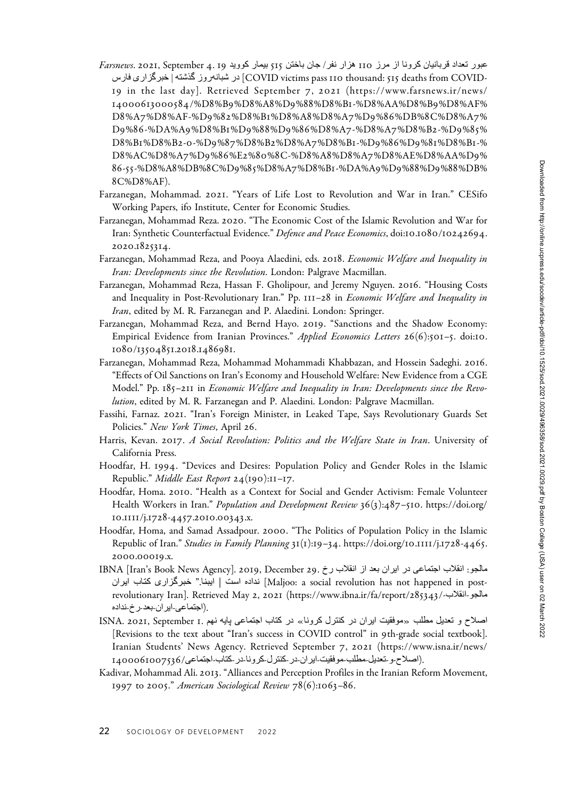- تمور تعداد قربانیان کرونا از مرز 110 هزار نفر/ جان باختن 715 بیمار کووید 19 به Farsnews. 2021, September 4. 19 سراف ی راز گ ربخ | هتشذ گ زورهنابشرد] COVID victims pass 110 thousand: 515 deaths from COVID-1 9 in the last day]. Retrieved September 7 , 2021 (https://www.farsnews.ir/news/ 14000613000584/%D8%B9%D8%A8%D9%88%D8%B1-%D8%AA%D8%B9%D8%AF% D8%A7%D8%AF-%D9%82%D8%B1%D8%A8%D8%A7%D9%86%DB%8C%D8%A7% D9%86-%DA%A9%D8%B1%D9%88%D9%86%D8%A7-%D8%A7%D8%B2-%D9%8 5% D8%B1%D8%B2-0-%D9%87%D8%B2%D8%A7%D8%B1-%D9%86%D9%8 1%D8%B1-% D8%AC%D8%A7%D9%86%E2%80%8C-%D8%A8%D8%A7%D8%AE%D8%AA%D9% 86-55-%D8%A8%DB%8C%D9%85%D8%A7%D8%B1-%DA%A9%D9%88%D9%88%DB% 8C%D8%AF).
- Farzanegan, Mohammad. 2021. "Years of Life Lost to Revolution and War in Iran." CESifo Working Papers, ifo Institute, Center for Economic Studies.
- Farzanegan, Mohammad Reza. 2020. "The Economic Cost of the Islamic Revolution and War for Iran: Synthetic Counterfactual Evidence." Defence and Peace Economics, doi:10.1080/10242694. 2020.1825314.
- Farzanegan, Mohammad Reza, and Pooya Alaedini, eds. 2018. Economic Welfare and Inequality in Iran: Developments since the Revolution. London: Palgrave Macmillan.
- Farzanegan, Mohammad Reza, Hassan F. Gholipour, and Jeremy Nguyen. 2016. "Housing Costs and Inequality in Post-Revolutionary Iran." Pp. 111-28 in Economic Welfare and Inequality in Iran, edited by M. R. Farzanegan and P. Alaedini. London: Springer.
- Farzanegan, Mohammad Reza, and Bernd Hayo. 2019. "Sanctions and the Shadow Economy: Empirical Evidence from Iranian Provinces." Applied Economics Letters 26(6):501-5. doi:10. 1080/13504851.2018.1486981.
- Farzanegan, Mohammad Reza, Mohammad Mohammadi Khabbazan, and Hossein Sadeghi. 2016. "Effects of Oil Sanctions on Iran's Economy and Household Welfare: New Evidence from a CGE Model." Pp. 185–211 in Economic Welfare and Inequality in Iran: Developments since the Revolution, edited by M. R. Farzanegan and P. Alaedini. London: Palgrave Macmillan.
- Fassihi, Farnaz. 2021. "Iran's Foreign Minister, in Leaked Tape, Says Revolutionary Guards Set Policies." New York Times, April 26.
- Harris, Kevan. 2017. A Social Revolution: Politics and the Welfare State in Iran. University of California Press.
- Hoodfar, H. 1994. "Devices and Desires: Population Policy and Gender Roles in the Islamic Republic." *Middle East Report*  $24(190):11-17$ .
- Hoodfar, Homa. 2010. "Health as a Context for Social and Gender Activism: Female Volunteer Health Workers in Iran." Population and Development Review 36(3):487-510. https://doi.org/ 10.1111/j.1728-4457.2010.00343.x.
- Hoodfar, Homa, and Samad Assadpour. 2000. "The Politics of Population Policy in the Islamic Republic of Iran." Studies in Family Planning 31(1):19-34. https://doi.org/10.1111/j.1728-4465. 2000.00019.x.
- مالجو: انقلاب اجتماعي در ايران بعد از انقلاب رخ .29. December 29. IBNA [Iran's Book News Agency] نار ـ يابا ـت کی راز خـبـرگـ" .ایـبـنـا | ـت ساهداد نـ] Maljoo: a social revolution has not happened in postrevolutionary Iran]. Retrieved May 2, 2021 (https://www.ibna.ir/fa/report/285343/-بانقلاب-/285343/ .(اجتماعی-ایر ان-بعد-ر خ-نداده
- اصلاح و تعدیل مطلب «موفقیت ایران در کننترل کرونا» در کتاب اجتماعی پایه نیم .ISNA. 2021, September 1 [Revisions to the text about "Iran's success in COVID control" in 9th-grade social textbook]. Iranian Students' News Agency. Retrieved September 7, 2021 (https://www.isna.ir/news/ .(اصلاح و تعدیل مطلب موفقیت ایر ان در کنترل کرونا در کتاب اجتماعی/1400061007536
- Kadivar, Mohammad Ali. 2013. "Alliances and Perception Profiles in the Iranian Reform Movement, 1997 to 2005." American Sociological Review 78(6):1063–86.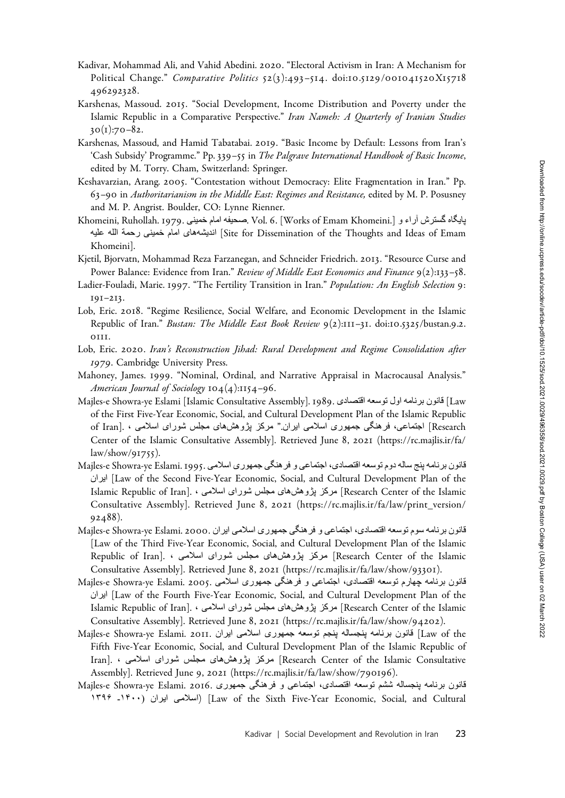- Kadivar, Mohammad Ali, and Vahid Abedini. 2020. "Electoral Activism in Iran: A Mechanism for Political Change." Comparative Politics 52(3):493-514. doi:10.5129/001041520X15718 496292328.
- Karshenas, Massoud. 2015. "Social Development, Income Distribution and Poverty under the Islamic Republic in a Comparative Perspective." Iran Nameh: A Quarterly of Iranian Studies  $30(1):70-82.$
- Karshenas, Massoud, and Hamid Tabatabai. 2019. "Basic Income by Default: Lessons from Iran's 'Cash Subsidy' Programme." Pp. 339–55 in The Palgrave International Handbook of Basic Income, edited by M. Torry. Cham, Switzerland: Springer.
- Keshavarzian, Arang. 2005. "Contestation without Democracy: Elite Fragmentation in Iran." Pp. 63–90 in Authoritarianism in the Middle East: Regimes and Resistance, edited by M. P. Posusney and M. P. Angrist. Boulder, CO: Lynne Rienner.
- پايگاه گسترش آراء و Khomeini, Ruhollah. 1979. حصو المام خمينی .Khomeini, Ruhollah. 1979 اندیشههای امام خمینی رحمة الله علیه [Site for Dissemination of the Thoughts and Ideas of Emam] اندیشههای امام خمینی رحمة الله علیه Khomeini].
- Kjetil, Bjorvatn, Mohammad Reza Farzanegan, and Schneider Friedrich. 2013. "Resource Curse and Power Balance: Evidence from Iran." Review of Middle East Economics and Finance 9(2):133-58.
- Ladier-Fouladi, Marie. 1997. "The Fertility Transition in Iran." Population: An English Selection 9: 191–213.
- Lob, Eric. 2018. "Regime Resilience, Social Welfare, and Economic Development in the Islamic Republic of Iran." Bustan: The Middle East Book Review 9(2):111-31. doi:10.5325/bustan.9.2. 0111.
- Lob, Eric. 2020. Iran's Reconstruction Jihad: Rural Development and Regime Consolidation after 1979. Cambridge University Press.
- Mahoney, James. 1999. "Nominal, Ordinal, and Narrative Appraisal in Macrocausal Analysis." American Journal of Sociology 104(4):1154-96.
- Majles-e Showra-ye Eslami [Islamic Consultative Assembly]. 1989. ی داصتقاهعسوتلواهمانربنوناق] Law of the First Five-Year Economic, Social, and Cultural Development Plan of the Islamic Republic Research [عامتها ی، فرهنگی جمهوری اسلامی ابران " مرکز بژوهشهای مجلس شورای اسلامی ، .[of Iran Center of the Islamic Consultative Assembly]. Retrieved June 8, 2021 (https://rc.majlis.ir/fa/ law/show/91755).
- هانون برنامه بنج ساله دوم توسعه اقتصادي، اجتماعي و فر هنگي جمهوري اسلامي .Majles-e Showra-ye Eslami. 1995 نار ای] Law of the Second Five-Year Economic, Social, and Cultural Development Plan of the Research Center of the Islamic [رموکز یژوهشهای مجلس شورای اسلامی ، .[Islamic Republic of Iran Consultative Assembly]. Retrieved June 8, 2021 (https://rc.majlis.ir/fa/law/print\_version/ 92488).
- تانون برنامه سوم توسعه اقتصادی، اجتماعی و فر هنگی جمهوری اسلامی ایران .Majles-e Showra-ye Eslami. 2000 [Law of the Third Five-Year Economic, Social, and Cultural Development Plan of the Islamic Research Center of the Islamic مرکز پژوهش های مـجلس شورای اسلامی ، . [Research Center of the Islamic Consultative Assembly]. Retrieved June 8, 2021 (https://rc.majlis.ir/fa/law/show/93301).
- هانون برنامه چهارم توسعه اقتصادی، اجتماعی و فرهنگی جمهوری اسلامی .Majles-e Showra-ye Eslami. 2005 نار ای] Law of the Fourth Five-Year Economic, Social, and Cultural Development Plan of the Islamic Republic of Iran]. • مرکز بژوهشهای مجلس شورای اسلامی ، .[Islamic Republic of Iran Consultative Assembly]. Retrieved June 8, 2021 (https://rc.majlis.ir/fa/law/show/94202).
- Majles-e Showra-ye Eslami. 2011. اینوم توسعه جمهوری اسلامی ایران ـ Majles-e Showra-ye Eslami. 2011 Fifth Five-Year Economic, Social, and Cultural Development Plan of the Islamic Republic of Iran]. • مرکز پژوهشهای مـجلس شورای اسلامی Iran]. • مرکز پـژوهش های مـجلس شورای اسلامی Assembly]. Retrieved June 9, 2021 (https://rc.majlis.ir/fa/law/show/790196).
- هانون برنامه پنجساله ششم توسعه اقتصادی، اجتماعی و فرهنگی جمهوری .Majles-e Showra-ye Eslami. 2016 ۱۳۹۶ ـ۱۴۰۰ (نار ایـ ـی ملا ـ سا] ( Law of the Sixth Five-Year Economic, Social, and Cultural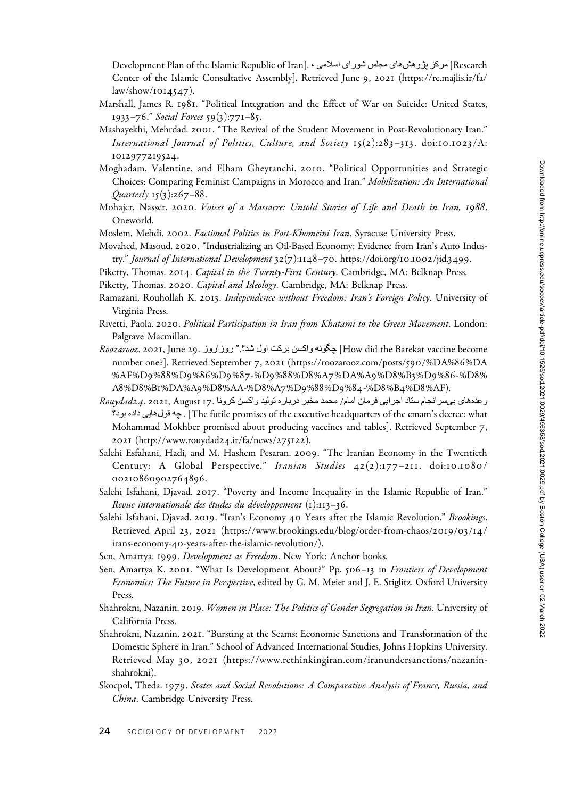Research ] مرکز پژوهش های مجلس شور ای اسلامی ، .[Development Plan of the Islamic Republic of Iran Center of the Islamic Consultative Assembly]. Retrieved June 9, 2021 (https://rc.majlis.ir/fa/ law/show/1014547).

- Marshall, James R. 1981. "Political Integration and the Effect of War on Suicide: United States, 1933–76." Social Forces 59(3):771–85.
- Mashayekhi, Mehrdad. 2001. "The Revival of the Student Movement in Post-Revolutionary Iran." International Journal of Politics, Culture, and Society  $15(2):283-313$ . doi:10.1023/A: 1012977219524.
- Moghadam, Valentine, and Elham Gheytanchi. 2010. "Political Opportunities and Strategic Choices: Comparing Feminist Campaigns in Morocco and Iran." Mobilization: An International Quarterly 15(3):267–88.
- Mohajer, Nasser. 2020. Voices of a Massacre: Untold Stories of Life and Death in Iran, 1988. Oneworld.
- Moslem, Mehdi. 2002. Factional Politics in Post-Khomeini Iran. Syracuse University Press.
- Movahed, Masoud. 2020. "Industrializing an Oil-Based Economy: Evidence from Iran's Auto Industry." Journal of International Development 32(7):1148–70. https://doi.org/10.1002/jid.3499.
- Piketty, Thomas. 2014. Capital in the Twenty-First Century. Cambridge, MA: Belknap Press.
- Piketty, Thomas. 2020. Capital and Ideology. Cambridge, MA: Belknap Press.
- Ramazani, Rouhollah K. 2013. Independence without Freedom: Iran's Foreign Policy. University of Virginia Press.
- Rivetti, Paola. 2020. Political Participation in Iran from Khatami to the Green Movement. London: Palgrave Macmillan.
- Boozarooz. 2021, June 29. روزآروز 29. Koozarooz. 2021, June 29. روزآروز Poozarooz. 2021, June 29. number one?]. Retrieved September 7, 2021 (https://roozarooz.com/posts/590/%DA%86%DA %AF%D9%88%D9%86%D9%87-%D9%88%D8%A7%DA%A9%D8%B3%D9%86-%D8% A8%D8%B1%DA%A9%D8%AA-%D8%A7%D9%88%D9%84-%D8%B4%D8%AF).
- وعدههای بیسرانجام سناد اجرایی فرمان امام/ محمد مخبر درباره تولید واکسن کرونا .Rouydad24. 2021, August 17 ؟ دوبهداد یی اهلوقه چ .] The futile promises of the executive headquarters of the emam's decree: what Mohammad Mokhber promised about producing vaccines and tables]. Retrieved September 7, 2021 (http://www.rouydad24.ir/fa/news/275122).
- Salehi Esfahani, Hadi, and M. Hashem Pesaran. 2009. "The Iranian Economy in the Twentieth Century: A Global Perspective." Iranian Studies 42(2):177-211. doi:10.1080/ 00210860902764896.
- Salehi Isfahani, Djavad. 2017. "Poverty and Income Inequality in the Islamic Republic of Iran." Revue internationale des études du développement (1):113–36.
- Salehi Isfahani, Djavad. 2019. "Iran's Economy 40 Years after the Islamic Revolution." Brookings. Retrieved April 23, 2021 (https://www.brookings.edu/blog/order-from-chaos/2019/03/14/ irans-economy-40-years-after-the-islamic-revolution/).
- Sen, Amartya. 1999. Development as Freedom. New York: Anchor books.
- Sen, Amartya K. 2001. "What Is Development About?" Pp. 506–13 in Frontiers of Development Economics: The Future in Perspective, edited by G. M. Meier and J. E. Stiglitz. Oxford University Press.
- Shahrokni, Nazanin. 2019. Women in Place: The Politics of Gender Segregation in Iran. University of California Press.
- Shahrokni, Nazanin. 2021. "Bursting at the Seams: Economic Sanctions and Transformation of the Domestic Sphere in Iran." School of Advanced International Studies, Johns Hopkins University. Retrieved May 30, 2021 (https://www.rethinkingiran.com/iranundersanctions/nazaninshahrokni).
- Skocpol, Theda. 1979. States and Social Revolutions: A Comparative Analysis of France, Russia, and China. Cambridge University Press.